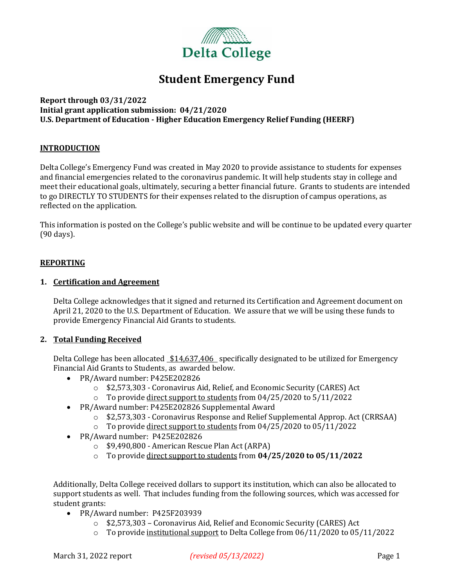

## **Student Emergency Fund**

#### **Report through 03/31/2022 Initial grant application submission: 04/21/2020 U.S. Department of Education - Higher Education Emergency Relief Funding (HEERF)**

#### **INTRODUCTION**

Delta College's Emergency Fund was created in May 2020 to provide assistance to students for expenses and financial emergencies related to the coronavirus pandemic. It will help students stay in college and meet their educational goals, ultimately, securing a better financial future. Grants to students are intended to go DIRECTLY TO STUDENTS for their expenses related to the disruption of campus operations, as reflected on the application.

This information is posted on the College's public website and will be continue to be updated every quarter (90 days).

#### **REPORTING**

#### **1. Certification and Agreement**

Delta College acknowledges that it signed and returned its Certification and Agreement document on April 21, 2020 to the U.S. Department of Education. We assure that we will be using these funds to provide Emergency Financial Aid Grants to students.

#### **2. Total Funding Received**

Delta College has been allocated \$14,637,406 specifically designated to be utilized for Emergency Financial Aid Grants to Students, as awarded below.

- PR/Award number: P425E202826
	- o \$2,573,303 Coronavirus Aid, Relief, and Economic Security (CARES) Act
	- $\circ$  To provide direct support to students from 04/25/2020 to 5/11/2022
- PR/Award number: P425E202826 Supplemental Award
	- o \$2,573,303 Coronavirus Response and Relief Supplemental Approp. Act (CRRSAA)
	- o To provide direct support to students from 04/25/2020 to 05/11/2022
- PR/Award number: P425E202826
	- o \$9,490,800 American Rescue Plan Act (ARPA)
	- o To provide direct support to students from **04/25/2020 to 05/11/2022**

Additionally, Delta College received dollars to support its institution, which can also be allocated to support students as well. That includes funding from the following sources, which was accessed for student grants:

- PR/Award number: P425F203939
	- o \$2,573,303 Coronavirus Aid, Relief and Economic Security (CARES) Act
	- $\circ$  To provide institutional support to Delta College from 06/11/2020 to 05/11/2022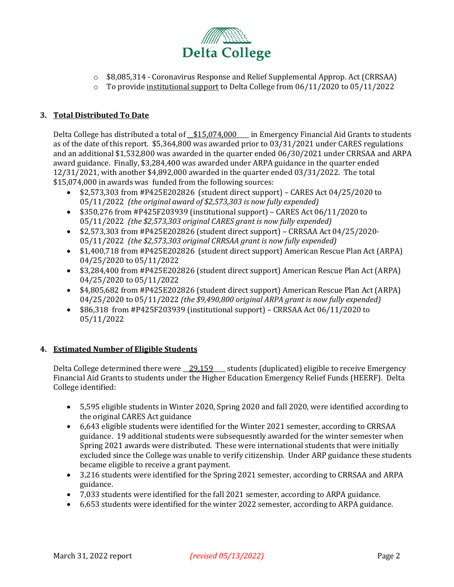

- o \$8,085,314 Coronavirus Response and Relief Supplemental Approp. Act (CRRSAA)
- $\circ$  To provide institutional support to Delta College from 06/11/2020 to 05/11/2022

#### **3. Total Distributed To Date**

Delta College has distributed a total of  $$15,074,000$  in Emergency Financial Aid Grants to students as of the date of this report. \$5,364,800 was awarded prior to 03/31/2021 under CARES regulations and an additional \$1,532,800 was awarded in the quarter ended 06/30/2021 under CRRSAA and ARPA award guidance. Finally, \$3,284,400 was awarded under ARPA guidance in the quarter ended 12/31/2021, with another \$4,892,000 awarded in the quarter ended 03/31/2022. The total \$15,074,000 in awards was funded from the following sources:

- \$2,573,303 from #P425E202826 (student direct support) CARES Act 04/25/2020 to 05/11/2022 *(the original award of \$2,573,303 is now fully expended)*
- \$350,276 from #P425F203939 (institutional support) CARES Act 06/11/2020 to 05/11/2022 *(the \$2,573,303 original CARES grant is now fully expended)*
- \$2,573,303 from #P425E202826 (student direct support) CRRSAA Act 04/25/2020- 05/11/2022 *(the \$2,573,303 original CRRSAA grant is now fully expended)*
- \$1,400,718 from #P425E202826 (student direct support) American Rescue Plan Act (ARPA) 04/25/2020 to 05/11/2022
- \$3,284,400 from #P425E202826 (student direct support) American Rescue Plan Act (ARPA) 04/25/2020 to 05/11/2022
- \$4,805,682 from #P425E202826 (student direct support) American Rescue Plan Act (ARPA) 04/25/2020 to 05/11/2022 *(the \$9,490,800 original ARPA grant is now fully expended)*
- \$86,318 from #P425F203939 (institutional support) CRRSAA Act 06/11/2020 to 05/11/2022

#### **4. Estimated Number of Eligible Students**

Delta College determined there were 29,159 students (duplicated) eligible to receive Emergency Financial Aid Grants to students under the Higher Education Emergency Relief Funds (HEERF). Delta College identified:

- 5,595 eligible students in Winter 2020, Spring 2020 and fall 2020, were identified according to the original CARES Act guidance
- 6,643 eligible students were identified for the Winter 2021 semester, according to CRRSAA guidance. 19 additional students were subsequesntly awarded for the winter semester when Spring 2021 awards were distributed. These were international students that were initially excluded since the College was unable to verify citizenship. Under ARP guidance these students became eligible to receive a grant payment.
- 3,216 students were identified for the Spring 2021 semester, according to CRRSAA and ARPA guidance.
- 7,033 students were identified for the fall 2021 semester, according to ARPA guidance.
- 6,653 students were identified for the winter 2022 semester, according to ARPA guidance.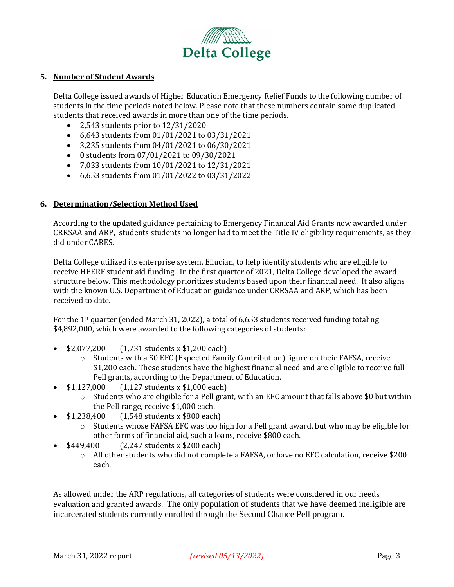

#### **5. Number of Student Awards**

Delta College issued awards of Higher Education Emergency Relief Funds to the following number of students in the time periods noted below. Please note that these numbers contain some duplicated students that received awards in more than one of the time periods.

- 2,543 students prior to 12/31/2020
- 6,643 students from 01/01/2021 to 03/31/2021
- 3,235 students from 04/01/2021 to 06/30/2021
- 0 students from 07/01/2021 to 09/30/2021
- 7,033 students from 10/01/2021 to 12/31/2021
- 6,653 students from 01/01/2022 to 03/31/2022

#### **6. Determination/Selection Method Used**

According to the updated guidance pertaining to Emergency Finanical Aid Grants now awarded under CRRSAA and ARP, students students no longer had to meet the Title IV eligibility requirements, as they did under CARES.

Delta College utilized its enterprise system, Ellucian, to help identify students who are eligible to receive HEERF student aid funding. In the first quarter of 2021, Delta College developed the award structure below. This methodology prioritizes students based upon their financial need. It also aligns with the known U.S. Department of Education guidance under CRRSAA and ARP, which has been received to date.

For the 1st quarter (ended March 31, 2022), a total of 6,653 students received funding totaling \$4,892,000, which were awarded to the following categories of students:

- \$2,077,200 (1,731 students x \$1,200 each)
	- $\circ$  Students with a \$0 EFC (Expected Family Contribution) figure on their FAFSA, receive \$1,200 each. These students have the highest financial need and are eligible to receive full Pell grants, according to the Department of Education.
- \$1,127,000 (1,127 students x \$1,000 each)
	- $\circ$  Students who are eligible for a Pell grant, with an EFC amount that falls above \$0 but within the Pell range, receive \$1,000 each.
- \$1,238,400 (1,548 students x \$800 each)
	- $\circ$  Students whose FAFSA EFC was too high for a Pell grant award, but who may be eligible for other forms of financial aid, such a loans, receive \$800 each.
- \$449,400 (2,247 students x \$200 each)
	- o All other students who did not complete a FAFSA, or have no EFC calculation, receive \$200 each.

As allowed under the ARP regulations, all categories of students were considered in our needs evaluation and granted awards. The only population of students that we have deemed ineligible are incarcerated students currently enrolled through the Second Chance Pell program.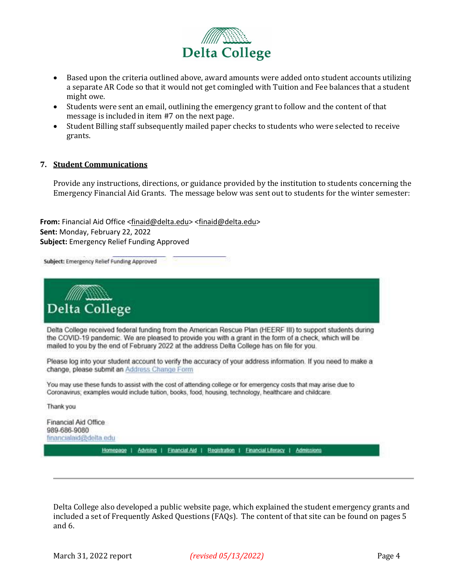

- Based upon the criteria outlined above, award amounts were added onto student accounts utilizing a separate AR Code so that it would not get comingled with Tuition and Fee balances that a student might owe.
- Students were sent an email, outlining the emergency grant to follow and the content of that message is included in item #7 on the next page.
- Student Billing staff subsequently mailed paper checks to students who were selected to receive grants.

#### **7. Student Communications**

Provide any instructions, directions, or guidance provided by the institution to students concerning the Emergency Financial Aid Grants. The message below was sent out to students for the winter semester:

**From:** Financial Aid Office [<finaid@delta.edu>](mailto:finaid@delta.edu) [<finaid@delta.edu>](mailto:finaid@delta.edu) **Sent:** Monday, February 22, 2022 **Subject:** Emergency Relief Funding Approved

Subject: Emergency Relief Funding Approved

**Delta College** Delta College received federal funding from the American Rescue Plan (HEERF III) to support students during the COVID-19 pandemic. We are pleased to provide you with a grant in the form of a check, which will be mailed to you by the end of February 2022 at the address Delta College has on file for you.

Please log into your student account to verify the accuracy of your address information. If you need to make a change, please submit an Address Change Form

You may use these funds to assist with the cost of attending college or for emergency costs that may arise due to Coronavirus; examples would include tuition, books, food, housing, technology, healthcare and childcare.

Thank you

Financial Aid Office 989-686-9080 financialaid@delta.edu Homepage | Advising | Einancial Aid | Registration | Einancial Literacy | Admissions

Delta College also developed a public website page, which explained the student emergency grants and included a set of Frequently Asked Questions (FAQs). The content of that site can be found on pages 5 and 6.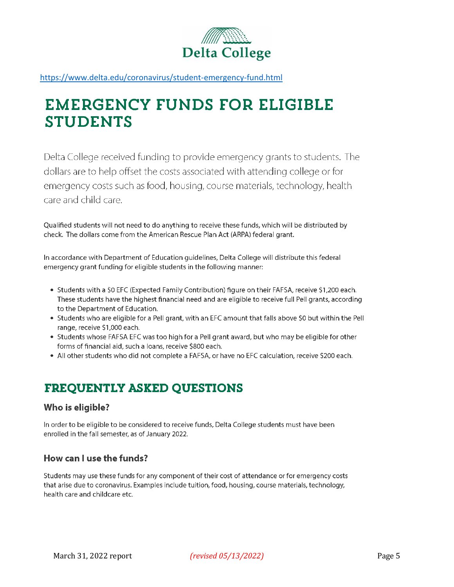

https://www.delta.edu/coronavirus/student-emergency-fund.html

# **EMERGENCY FUNDS FOR ELIGIBLE STUDENTS**

Delta College received funding to provide emergency grants to students. The dollars are to help offset the costs associated with attending college or for emergency costs such as food, housing, course materials, technology, health care and child care.

Qualified students will not need to do anything to receive these funds, which will be distributed by check. The dollars come from the American Rescue Plan Act (ARPA) federal grant.

In accordance with Department of Education guidelines, Delta College will distribute this federal emergency grant funding for eligible students in the following manner:

- Students with a \$0 EFC (Expected Family Contribution) figure on their FAFSA, receive \$1,200 each. These students have the highest financial need and are eligible to receive full Pell grants, according to the Department of Education.
- Students who are eligible for a Pell grant, with an EFC amount that falls above \$0 but within the Pell range, receive \$1,000 each.
- Students whose FAFSA EFC was too high for a Pell grant award, but who may be eligible for other forms of financial aid, such a loans, receive \$800 each.
- . All other students who did not complete a FAFSA, or have no EFC calculation, receive \$200 each.

## **FREQUENTLY ASKED QUESTIONS**

## Who is eligible?

In order to be eligible to be considered to receive funds, Delta College students must have been enrolled in the fall semester, as of January 2022.

## How can Luse the funds?

Students may use these funds for any component of their cost of attendance or for emergency costs that arise due to coronavirus. Examples include tuition, food, housing, course materials, technology, health care and childcare etc.